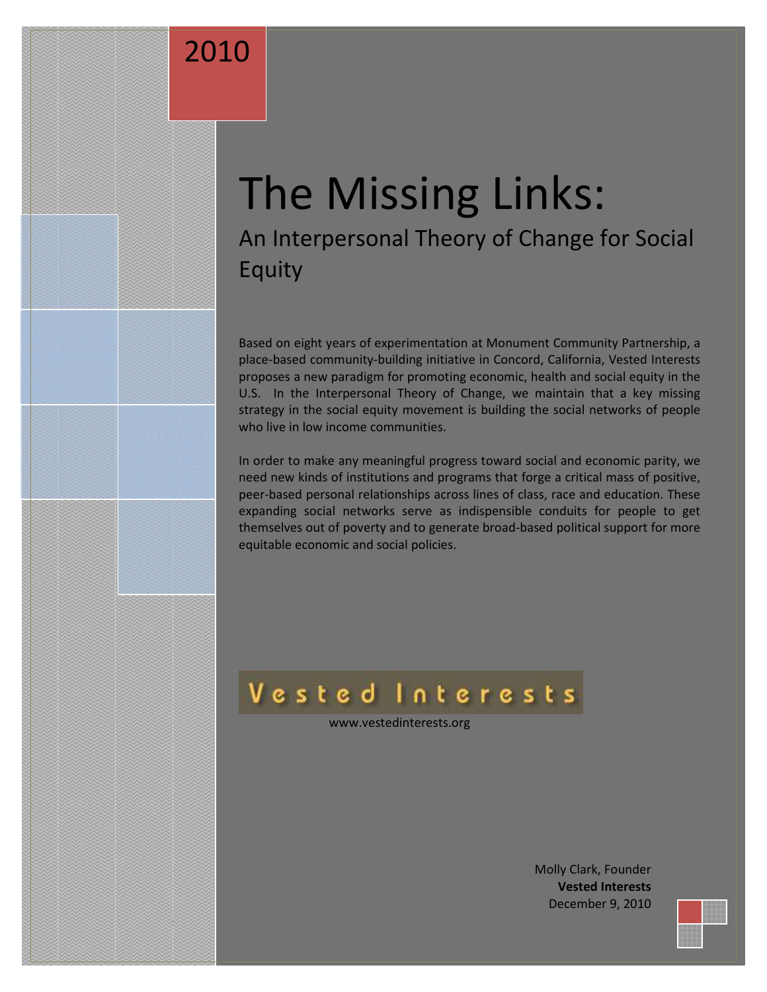# 2010

MOLAR, DECEMBER 7, 2010

# The Missing Links: An Interpersonal Theory of Change for Social Equity

Based on eight years of experimentation at Monument Community Partnership, a place-based community-building initiative in Concord, California, Vested Interests proposes a new paradigm for promoting economic, health and social equity in the U.S. In the Interpersonal Theory of Change, we maintain that a key missing strategy in the social equity movement is building the social networks of people who live in low income communities.

In order to make any meaningful progress toward social and economic parity, we need new kinds of institutions and programs that forge a critical mass of positive, peer-based personal relationships across lines of class, race and education. These expanding social networks serve as indispensible conduits for people to get themselves out of poverty and to generate broad-based political support for more equitable economic and social policies.

# Vested Interests

www.vestedinterests.org

Molly Clark, Founder **Vested Interests** December 9, 2010

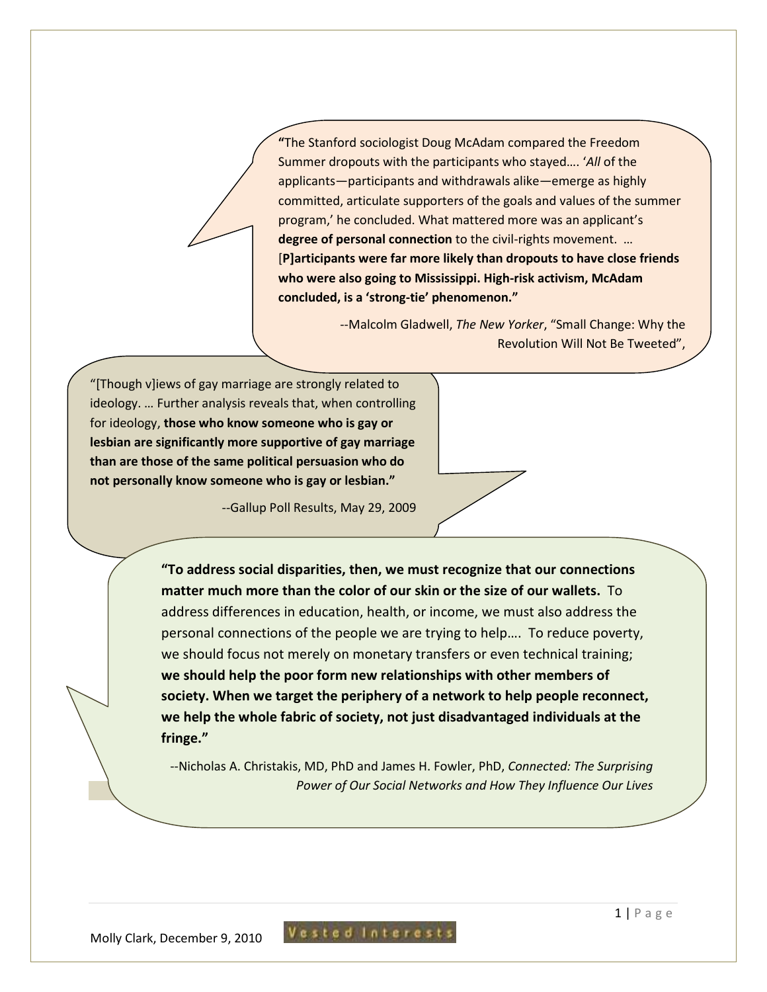**"**The Stanford sociologist Doug McAdam compared the Freedom Summer dropouts with the participants who stayed…. '*All* of the applicants—participants and withdrawals alike—emerge as highly committed, articulate supporters of the goals and values of the summer program,' he concluded. What mattered more was an applicant's **degree of personal connection** to the civil-rights movement.… [**P]articipants were far more likely than dropouts to have close friends who were also going to Mississippi. High-risk activism, McAdam concluded, is a 'strong-tie' phenomenon."** 

> --Malcolm Gladwell, *The New Yorker*, "Small Change: Why the Revolution Will Not Be Tweeted",

"[Though v]iews of gay marriage are strongly related to ideology. … Further analysis reveals that, when controlling for ideology, **those who know someone who is gay or lesbian are significantly more supportive of gay marriage than are those of the same political persuasion who do not personally know someone who is gay or lesbian."**

--Gallup Poll Results, May 29, 2009

**"To address social disparities, then, we must recognize that our connections matter much more than the color of our skin or the size of our wallets.** To address differences in education, health, or income, we must also address the personal connections of the people we are trying to help…. To reduce poverty, we should focus not merely on monetary transfers or even technical training; **we should help the poor form new relationships with other members of society. When we target the periphery of a network to help people reconnect, we help the whole fabric of society, not just disadvantaged individuals at the fringe."**

--Nicholas A. Christakis, MD, PhD and James H. Fowler, PhD, *Connected: The Surprising Power of Our Social Networks and How They Influence Our Lives*

Molly Clark, December 9, 2010

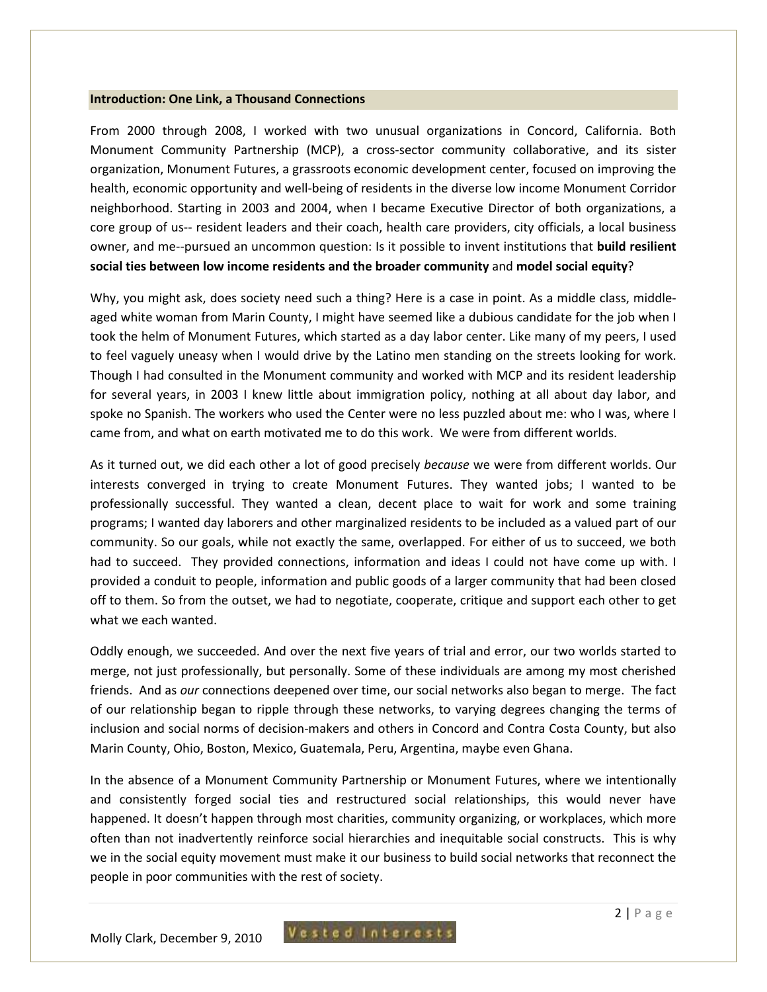#### **Introduction: One Link, a Thousand Connections**

From 2000 through 2008, I worked with two unusual organizations in Concord, California. Both Monument Community Partnership (MCP), a cross-sector community collaborative, and its sister organization, Monument Futures, a grassroots economic development center, focused on improving the health, economic opportunity and well-being of residents in the diverse low income Monument Corridor neighborhood. Starting in 2003 and 2004, when I became Executive Director of both organizations, a core group of us-- resident leaders and their coach, health care providers, city officials, a local business owner, and me--pursued an uncommon question: Is it possible to invent institutions that **build resilient social ties between low income residents and the broader community** and **model social equity**?

Why, you might ask, does society need such a thing? Here is a case in point. As a middle class, middleaged white woman from Marin County, I might have seemed like a dubious candidate for the job when I took the helm of Monument Futures, which started as a day labor center. Like many of my peers, I used to feel vaguely uneasy when I would drive by the Latino men standing on the streets looking for work. Though I had consulted in the Monument community and worked with MCP and its resident leadership for several years, in 2003 I knew little about immigration policy, nothing at all about day labor, and spoke no Spanish. The workers who used the Center were no less puzzled about me: who I was, where I came from, and what on earth motivated me to do this work. We were from different worlds.

As it turned out, we did each other a lot of good precisely *because* we were from different worlds. Our interests converged in trying to create Monument Futures. They wanted jobs; I wanted to be professionally successful. They wanted a clean, decent place to wait for work and some training programs; I wanted day laborers and other marginalized residents to be included as a valued part of our community. So our goals, while not exactly the same, overlapped. For either of us to succeed, we both had to succeed. They provided connections, information and ideas I could not have come up with. I provided a conduit to people, information and public goods of a larger community that had been closed off to them. So from the outset, we had to negotiate, cooperate, critique and support each other to get what we each wanted.

Oddly enough, we succeeded. And over the next five years of trial and error, our two worlds started to merge, not just professionally, but personally. Some of these individuals are among my most cherished friends. And as *our* connections deepened over time, our social networks also began to merge. The fact of our relationship began to ripple through these networks, to varying degrees changing the terms of inclusion and social norms of decision-makers and others in Concord and Contra Costa County, but also Marin County, Ohio, Boston, Mexico, Guatemala, Peru, Argentina, maybe even Ghana.

In the absence of a Monument Community Partnership or Monument Futures, where we intentionally and consistently forged social ties and restructured social relationships, this would never have happened. It doesn't happen through most charities, community organizing, or workplaces, which more often than not inadvertently reinforce social hierarchies and inequitable social constructs. This is why we in the social equity movement must make it our business to build social networks that reconnect the people in poor communities with the rest of society.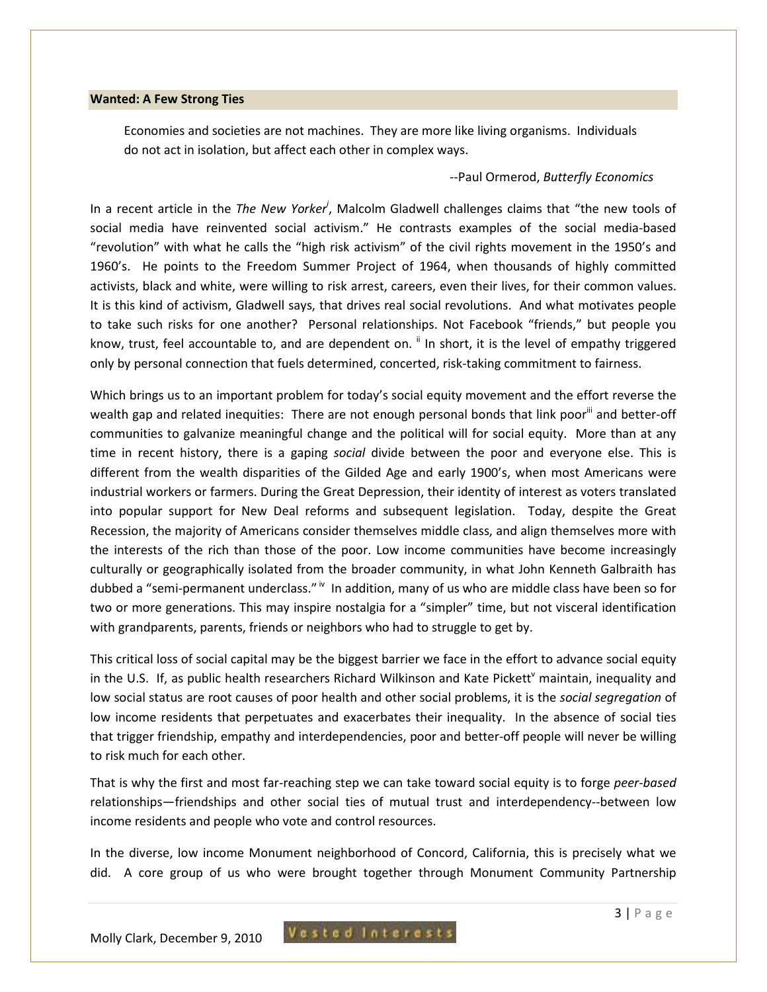#### **Wanted: A Few Strong Ties**

Economies and societies are not machines. They are more like living organisms. Individuals do not act in isolation, but affect each other in complex ways.

#### --Paul Ormerod, *Butterfly Economics*

In a recent article in the *The New Yorker<sup>i</sup>* , Malcolm Gladwell challenges claims that "the new tools of social media have reinvented social activism." He contrasts examples of the social media-based "revolution" with what he calls the "high risk activism" of the civil rights movement in the 1950's and 1960's. He points to the Freedom Summer Project of 1964, when thousands of highly committed activists, black and white, were willing to risk arrest, careers, even their lives, for their common values. It is this kind of activism, Gladwell says, that drives real social revolutions. And what motivates people to take such risks for one another? Personal relationships. Not Facebook "friends," but people you know, trust, feel accountable to, and are dependent on. <sup>ii</sup> In short, it is the level of empathy triggered only by personal connection that fuels determined, concerted, risk-taking commitment to fairness.

Which brings us to an important problem for today's social equity movement and the effort reverse the wealth gap and related inequities: There are not enough personal bonds that link poor<sup>iii</sup> and better-off communities to galvanize meaningful change and the political will for social equity. More than at any time in recent history, there is a gaping *social* divide between the poor and everyone else. This is different from the wealth disparities of the Gilded Age and early 1900's, when most Americans were industrial workers or farmers. During the Great Depression, their identity of interest as voters translated into popular support for New Deal reforms and subsequent legislation. Today, despite the Great Recession, the majority of Americans consider themselves middle class, and align themselves more with the interests of the rich than those of the poor. Low income communities have become increasingly culturally or geographically isolated from the broader community, in what John Kenneth Galbraith has dubbed a "semi-permanent underclass."  $\mu$  In addition, many of us who are middle class have been so for two or more generations. This may inspire nostalgia for a "simpler" time, but not visceral identification with grandparents, parents, friends or neighbors who had to struggle to get by.

This critical loss of social capital may be the biggest barrier we face in the effort to advance social equity in the U.S. If, as public health researchers Richard Wilkinson and Kate Pickett<sup>v</sup> maintain, inequality and low social status are root causes of poor health and other social problems, it is the *social segregation* of low income residents that perpetuates and exacerbates their inequality. In the absence of social ties that trigger friendship, empathy and interdependencies, poor and better-off people will never be willing to risk much for each other.

That is why the first and most far-reaching step we can take toward social equity is to forge *peer-based* relationships—friendships and other social ties of mutual trust and interdependency--between low income residents and people who vote and control resources.

In the diverse, low income Monument neighborhood of Concord, California, this is precisely what we did. A core group of us who were brought together through Monument Community Partnership

Vested Interests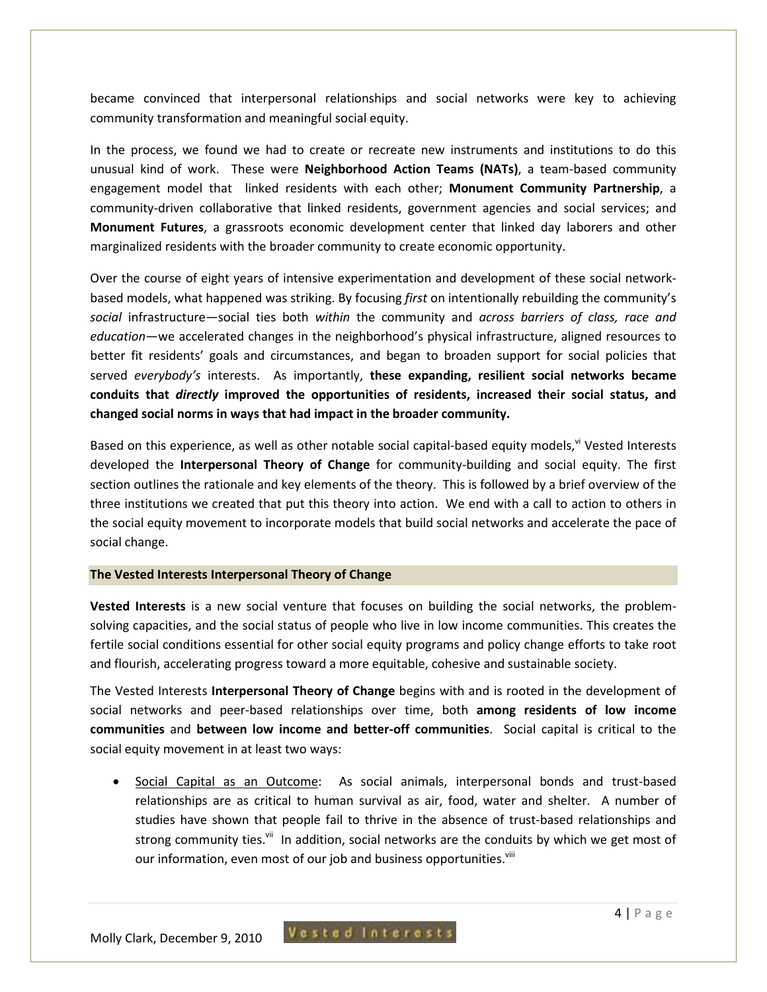became convinced that interpersonal relationships and social networks were key to achieving community transformation and meaningful social equity.

In the process, we found we had to create or recreate new instruments and institutions to do this unusual kind of work. These were **Neighborhood Action Teams (NATs)**, a team-based community engagement model that linked residents with each other; **Monument Community Partnership**, a community-driven collaborative that linked residents, government agencies and social services; and **Monument Futures**, a grassroots economic development center that linked day laborers and other marginalized residents with the broader community to create economic opportunity.

Over the course of eight years of intensive experimentation and development of these social networkbased models, what happened was striking. By focusing *first* on intentionally rebuilding the community's *social* infrastructure—social ties both *within* the community and *across barriers of class, race and education*—we accelerated changes in the neighborhood's physical infrastructure, aligned resources to better fit residents' goals and circumstances, and began to broaden support for social policies that served *everybody's* interests. As importantly, **these expanding, resilient social networks became conduits that** *directly* **improved the opportunities of residents, increased their social status, and changed social norms in ways that had impact in the broader community.** 

Based on this experience, as well as other notable social capital-based equity models, vi Vested Interests developed the **Interpersonal Theory of Change** for community-building and social equity. The first section outlines the rationale and key elements of the theory. This is followed by a brief overview of the three institutions we created that put this theory into action. We end with a call to action to others in the social equity movement to incorporate models that build social networks and accelerate the pace of social change.

#### **The Vested Interests Interpersonal Theory of Change**

**Vested Interests** is a new social venture that focuses on building the social networks, the problemsolving capacities, and the social status of people who live in low income communities. This creates the fertile social conditions essential for other social equity programs and policy change efforts to take root and flourish, accelerating progress toward a more equitable, cohesive and sustainable society.

The Vested Interests **Interpersonal Theory of Change** begins with and is rooted in the development of social networks and peer-based relationships over time, both **among residents of low income communities** and **between low income and better-off communities**. Social capital is critical to the social equity movement in at least two ways:

Social Capital as an Outcome: As social animals, interpersonal bonds and trust-based relationships are as critical to human survival as air, food, water and shelter. A number of studies have shown that people fail to thrive in the absence of trust-based relationships and strong community ties.<sup>vii</sup> In addition, social networks are the conduits by which we get most of our information, even most of our job and business opportunities.<sup>viii</sup>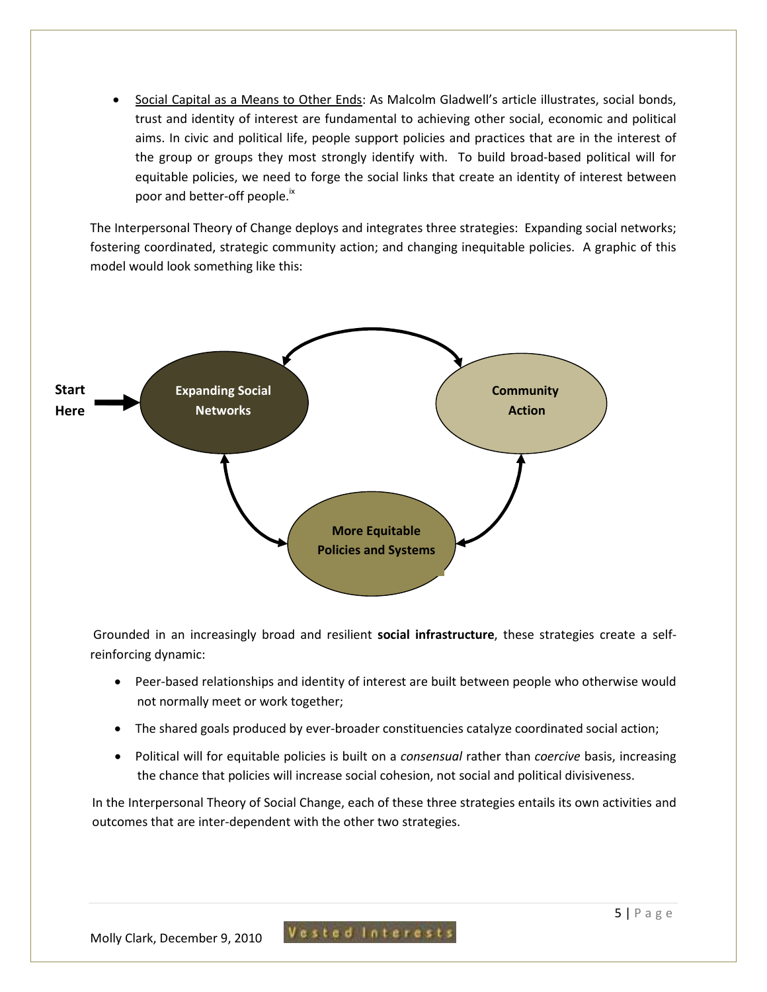• Social Capital as a Means to Other Ends: As Malcolm Gladwell's article illustrates, social bonds, trust and identity of interest are fundamental to achieving other social, economic and political aims. In civic and political life, people support policies and practices that are in the interest of the group or groups they most strongly identify with. To build broad-based political will for equitable policies, we need to forge the social links that create an identity of interest between poor and better-off people.<sup>ix</sup>

The Interpersonal Theory of Change deploys and integrates three strategies: Expanding social networks; fostering coordinated, strategic community action; and changing inequitable policies. A graphic of this model would look something like this:



 Grounded in an increasingly broad and resilient **social infrastructure**, these strategies create a selfreinforcing dynamic:

- Peer-based relationships and identity of interest are built between people who otherwise would not normally meet or work together;
- The shared goals produced by ever-broader constituencies catalyze coordinated social action;
- Political will for equitable policies is built on a *consensual* rather than *coercive* basis, increasing the chance that policies will increase social cohesion, not social and political divisiveness.

In the Interpersonal Theory of Social Change, each of these three strategies entails its own activities and outcomes that are inter-dependent with the other two strategies.

Vested Interest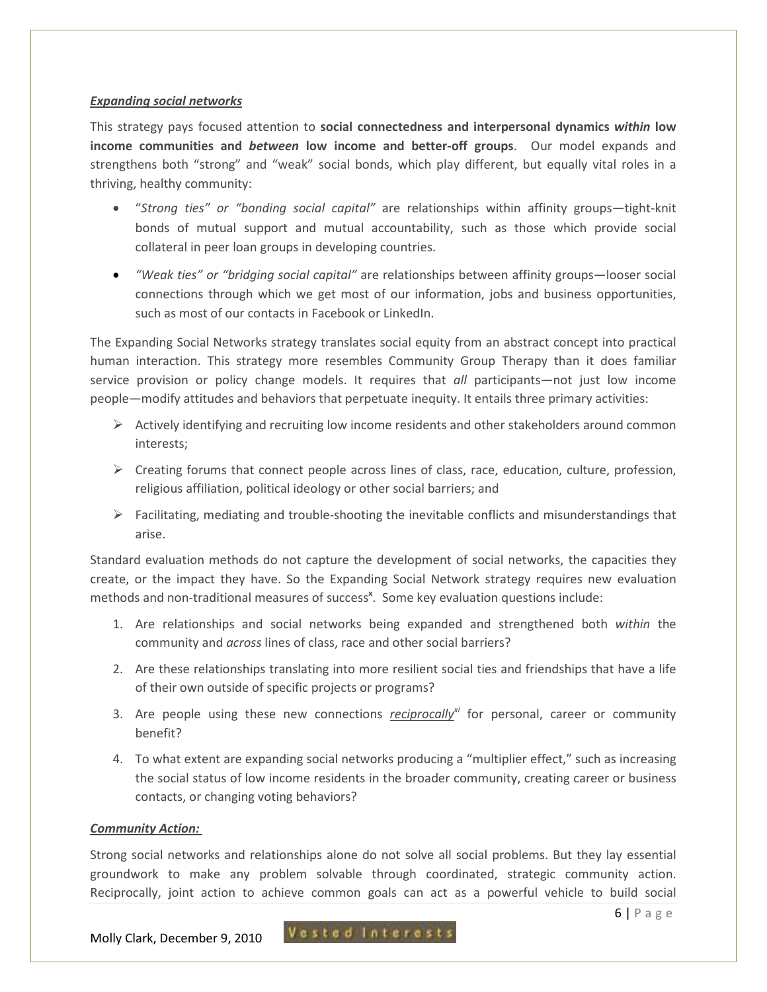### *Expanding social networks*

This strategy pays focused attention to **social connectedness and interpersonal dynamics** *within* **low income communities and** *between* **low income and better-off groups**. Our model expands and strengthens both "strong" and "weak" social bonds, which play different, but equally vital roles in a thriving, healthy community:

- "*Strong ties" or "bonding social capital"* are relationships within affinity groups—tight-knit bonds of mutual support and mutual accountability, such as those which provide social collateral in peer loan groups in developing countries.
- *"Weak ties" or "bridging social capital"* are relationships between affinity groups—looser social connections through which we get most of our information, jobs and business opportunities, such as most of our contacts in Facebook or LinkedIn.

The Expanding Social Networks strategy translates social equity from an abstract concept into practical human interaction. This strategy more resembles Community Group Therapy than it does familiar service provision or policy change models. It requires that *all* participants—not just low income people—modify attitudes and behaviors that perpetuate inequity. It entails three primary activities:

- $\triangleright$  Actively identifying and recruiting low income residents and other stakeholders around common interests;
- $\triangleright$  Creating forums that connect people across lines of class, race, education, culture, profession, religious affiliation, political ideology or other social barriers; and
- $\triangleright$  Facilitating, mediating and trouble-shooting the inevitable conflicts and misunderstandings that arise.

Standard evaluation methods do not capture the development of social networks, the capacities they create, or the impact they have. So the Expanding Social Network strategy requires new evaluation methods and non-traditional measures of success<sup>x</sup>. Some key evaluation questions include:

- 1. Are relationships and social networks being expanded and strengthened both *within* the community and *across* lines of class, race and other social barriers?
- 2. Are these relationships translating into more resilient social ties and friendships that have a life of their own outside of specific projects or programs?
- 3. Are people using these new connections *reciprocallyxi* for personal, career or community benefit?
- 4. To what extent are expanding social networks producing a "multiplier effect," such as increasing the social status of low income residents in the broader community, creating career or business contacts, or changing voting behaviors?

## *Community Action:*

Strong social networks and relationships alone do not solve all social problems. But they lay essential groundwork to make any problem solvable through coordinated, strategic community action. Reciprocally, joint action to achieve common goals can act as a powerful vehicle to build social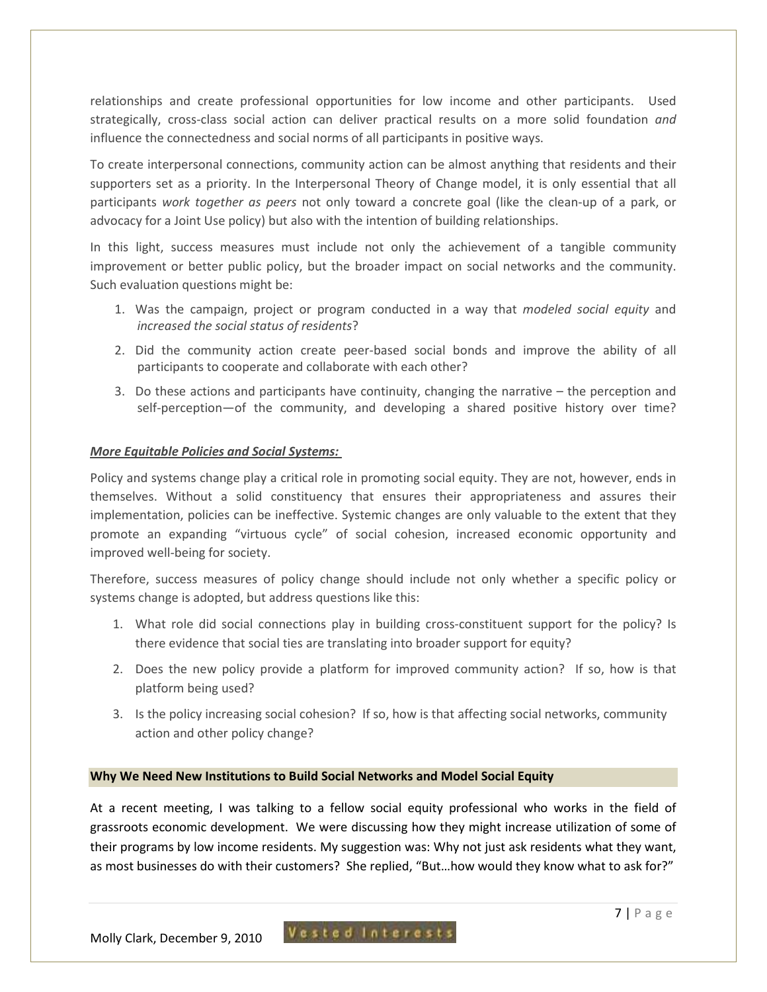relationships and create professional opportunities for low income and other participants. Used strategically, cross-class social action can deliver practical results on a more solid foundation *and* influence the connectedness and social norms of all participants in positive ways.

To create interpersonal connections, community action can be almost anything that residents and their supporters set as a priority. In the Interpersonal Theory of Change model, it is only essential that all participants *work together as peers* not only toward a concrete goal (like the clean-up of a park, or advocacy for a Joint Use policy) but also with the intention of building relationships.

In this light, success measures must include not only the achievement of a tangible community improvement or better public policy, but the broader impact on social networks and the community. Such evaluation questions might be:

- 1. Was the campaign, project or program conducted in a way that *modeled social equity* and *increased the social status of residents*?
- 2. Did the community action create peer-based social bonds and improve the ability of all participants to cooperate and collaborate with each other?
- 3. Do these actions and participants have continuity, changing the narrative the perception and self-perception—of the community, and developing a shared positive history over time?

## *More Equitable Policies and Social Systems:*

Policy and systems change play a critical role in promoting social equity. They are not, however, ends in themselves. Without a solid constituency that ensures their appropriateness and assures their implementation, policies can be ineffective. Systemic changes are only valuable to the extent that they promote an expanding "virtuous cycle" of social cohesion, increased economic opportunity and improved well-being for society.

Therefore, success measures of policy change should include not only whether a specific policy or systems change is adopted, but address questions like this:

- 1. What role did social connections play in building cross-constituent support for the policy? Is there evidence that social ties are translating into broader support for equity?
- 2. Does the new policy provide a platform for improved community action? If so, how is that platform being used?
- 3. Is the policy increasing social cohesion? If so, how is that affecting social networks, community action and other policy change?

#### **Why We Need New Institutions to Build Social Networks and Model Social Equity**

At a recent meeting, I was talking to a fellow social equity professional who works in the field of grassroots economic development. We were discussing how they might increase utilization of some of their programs by low income residents. My suggestion was: Why not just ask residents what they want, as most businesses do with their customers? She replied, "But…how would they know what to ask for?"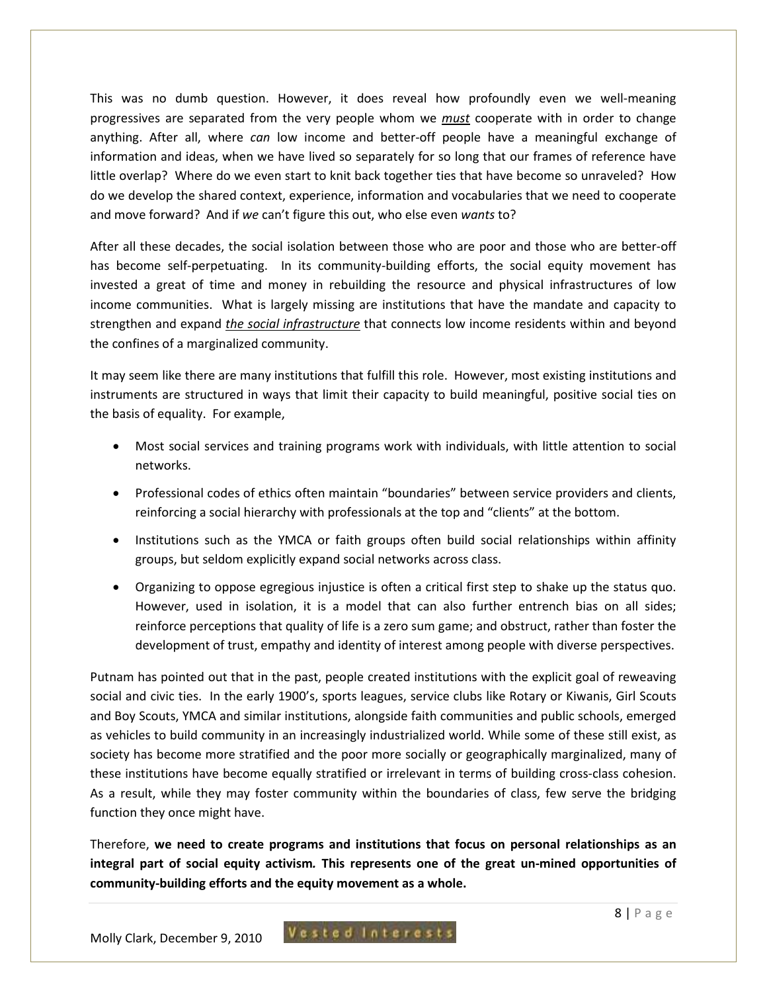This was no dumb question. However, it does reveal how profoundly even we well-meaning progressives are separated from the very people whom we *must* cooperate with in order to change anything. After all, where *can* low income and better-off people have a meaningful exchange of information and ideas, when we have lived so separately for so long that our frames of reference have little overlap? Where do we even start to knit back together ties that have become so unraveled? How do we develop the shared context, experience, information and vocabularies that we need to cooperate and move forward? And if *we* can't figure this out, who else even *wants* to?

After all these decades, the social isolation between those who are poor and those who are better-off has become self-perpetuating. In its community-building efforts, the social equity movement has invested a great of time and money in rebuilding the resource and physical infrastructures of low income communities. What is largely missing are institutions that have the mandate and capacity to strengthen and expand *the social infrastructure* that connects low income residents within and beyond the confines of a marginalized community.

It may seem like there are many institutions that fulfill this role. However, most existing institutions and instruments are structured in ways that limit their capacity to build meaningful, positive social ties on the basis of equality. For example,

- Most social services and training programs work with individuals, with little attention to social networks.
- Professional codes of ethics often maintain "boundaries" between service providers and clients, reinforcing a social hierarchy with professionals at the top and "clients" at the bottom.
- Institutions such as the YMCA or faith groups often build social relationships within affinity groups, but seldom explicitly expand social networks across class.
- Organizing to oppose egregious injustice is often a critical first step to shake up the status quo. However, used in isolation, it is a model that can also further entrench bias on all sides; reinforce perceptions that quality of life is a zero sum game; and obstruct, rather than foster the development of trust, empathy and identity of interest among people with diverse perspectives.

Putnam has pointed out that in the past, people created institutions with the explicit goal of reweaving social and civic ties. In the early 1900's, sports leagues, service clubs like Rotary or Kiwanis, Girl Scouts and Boy Scouts, YMCA and similar institutions, alongside faith communities and public schools, emerged as vehicles to build community in an increasingly industrialized world. While some of these still exist, as society has become more stratified and the poor more socially or geographically marginalized, many of these institutions have become equally stratified or irrelevant in terms of building cross-class cohesion. As a result, while they may foster community within the boundaries of class, few serve the bridging function they once might have.

Therefore, **we need to create programs and institutions that focus on personal relationships as an integral part of social equity activism***.* **This represents one of the great un-mined opportunities of community-building efforts and the equity movement as a whole.**

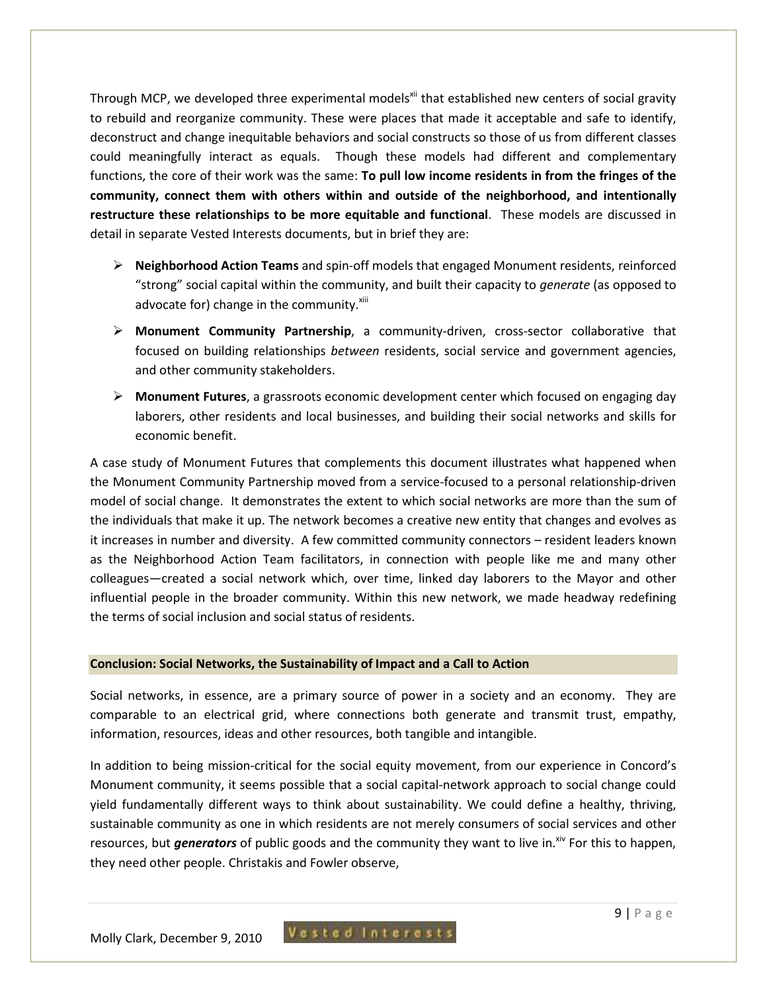Through MCP, we developed three experimental models<sup>xii</sup> that established new centers of social gravity to rebuild and reorganize community. These were places that made it acceptable and safe to identify, deconstruct and change inequitable behaviors and social constructs so those of us from different classes could meaningfully interact as equals. Though these models had different and complementary functions, the core of their work was the same: **To pull low income residents in from the fringes of the community, connect them with others within and outside of the neighborhood, and intentionally restructure these relationships to be more equitable and functional**. These models are discussed in detail in separate Vested Interests documents, but in brief they are:

- **Neighborhood Action Teams** and spin-off models that engaged Monument residents, reinforced "strong" social capital within the community, and built their capacity to *generate* (as opposed to advocate for) change in the community. $x^{\text{iii}}$
- **Monument Community Partnership**, a community-driven, cross-sector collaborative that focused on building relationships *between* residents, social service and government agencies, and other community stakeholders.
- **Monument Futures**, a grassroots economic development center which focused on engaging day laborers, other residents and local businesses, and building their social networks and skills for economic benefit.

A case study of Monument Futures that complements this document illustrates what happened when the Monument Community Partnership moved from a service-focused to a personal relationship-driven model of social change. It demonstrates the extent to which social networks are more than the sum of the individuals that make it up. The network becomes a creative new entity that changes and evolves as it increases in number and diversity. A few committed community connectors – resident leaders known as the Neighborhood Action Team facilitators, in connection with people like me and many other colleagues—created a social network which, over time, linked day laborers to the Mayor and other influential people in the broader community. Within this new network, we made headway redefining the terms of social inclusion and social status of residents.

#### **Conclusion: Social Networks, the Sustainability of Impact and a Call to Action**

Social networks, in essence, are a primary source of power in a society and an economy. They are comparable to an electrical grid, where connections both generate and transmit trust, empathy, information, resources, ideas and other resources, both tangible and intangible.

In addition to being mission-critical for the social equity movement, from our experience in Concord's Monument community, it seems possible that a social capital-network approach to social change could yield fundamentally different ways to think about sustainability. We could define a healthy, thriving, sustainable community as one in which residents are not merely consumers of social services and other resources, but *generators* of public goods and the community they want to live in.<sup>xiv</sup> For this to happen. they need other people. Christakis and Fowler observe,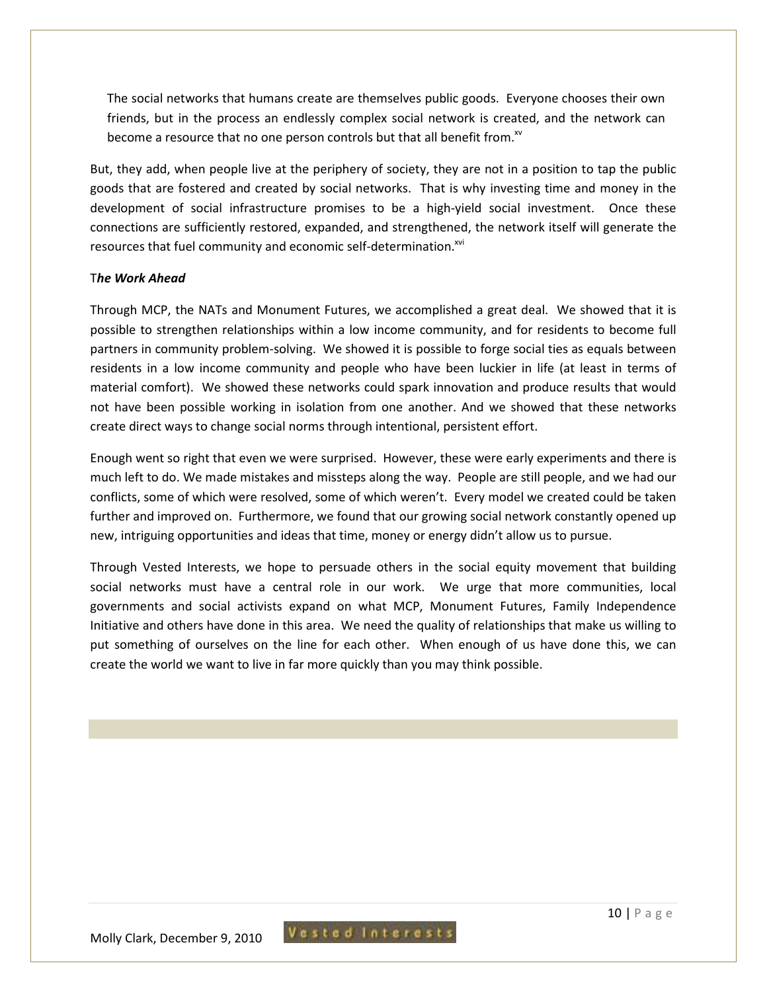The social networks that humans create are themselves public goods. Everyone chooses their own friends, but in the process an endlessly complex social network is created, and the network can become a resource that no one person controls but that all benefit from.<sup>xv</sup>

But, they add, when people live at the periphery of society, they are not in a position to tap the public goods that are fostered and created by social networks. That is why investing time and money in the development of social infrastructure promises to be a high-yield social investment. Once these connections are sufficiently restored, expanded, and strengthened, the network itself will generate the resources that fuel community and economic self-determination.<sup>xvi</sup>

#### T*he Work Ahead*

Through MCP, the NATs and Monument Futures, we accomplished a great deal. We showed that it is possible to strengthen relationships within a low income community, and for residents to become full partners in community problem-solving. We showed it is possible to forge social ties as equals between residents in a low income community and people who have been luckier in life (at least in terms of material comfort). We showed these networks could spark innovation and produce results that would not have been possible working in isolation from one another. And we showed that these networks create direct ways to change social norms through intentional, persistent effort.

Enough went so right that even we were surprised. However, these were early experiments and there is much left to do. We made mistakes and missteps along the way. People are still people, and we had our conflicts, some of which were resolved, some of which weren't. Every model we created could be taken further and improved on. Furthermore, we found that our growing social network constantly opened up new, intriguing opportunities and ideas that time, money or energy didn't allow us to pursue.

Through Vested Interests, we hope to persuade others in the social equity movement that building social networks must have a central role in our work. We urge that more communities, local governments and social activists expand on what MCP, Monument Futures, Family Independence Initiative and others have done in this area. We need the quality of relationships that make us willing to put something of ourselves on the line for each other. When enough of us have done this, we can create the world we want to live in far more quickly than you may think possible.

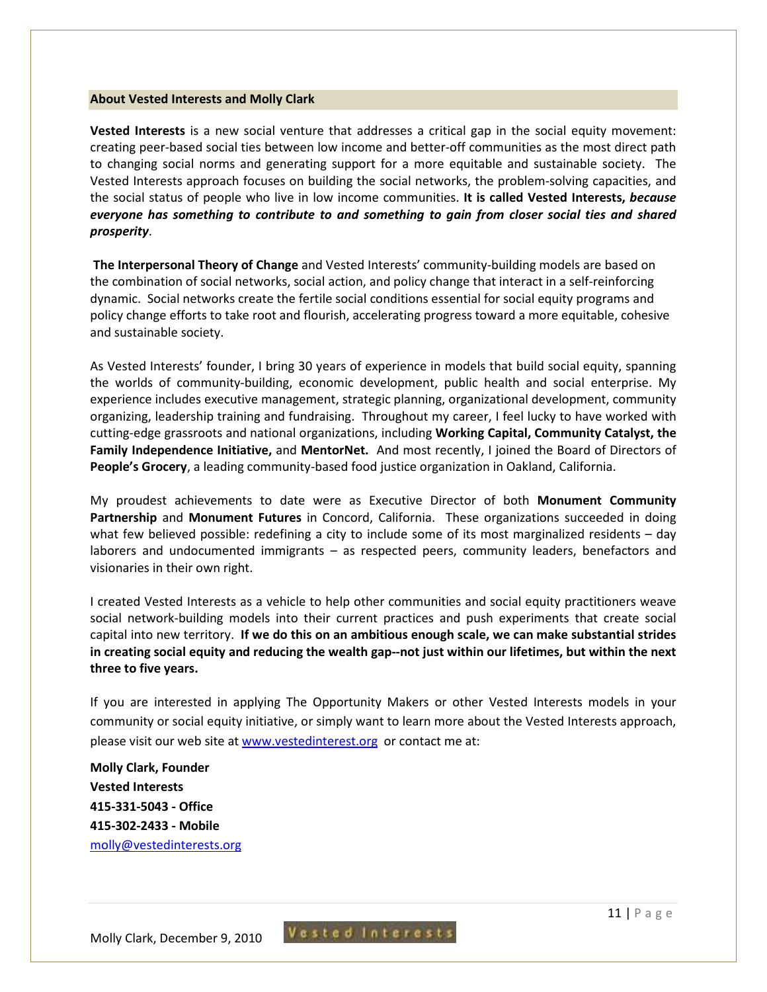#### **About Vested Interests and Molly Clark**

**Vested Interests** is a new social venture that addresses a critical gap in the social equity movement: creating peer-based social ties between low income and better-off communities as the most direct path to changing social norms and generating support for a more equitable and sustainable society. The Vested Interests approach focuses on building the social networks, the problem-solving capacities, and the social status of people who live in low income communities. **It is called Vested Interests,** *because everyone has something to contribute to and something to gain from closer social ties and shared prosperity*.

**The Interpersonal Theory of Change** and Vested Interests' community-building models are based on the combination of social networks, social action, and policy change that interact in a self-reinforcing dynamic. Social networks create the fertile social conditions essential for social equity programs and policy change efforts to take root and flourish, accelerating progress toward a more equitable, cohesive and sustainable society.

As Vested Interests' founder, I bring 30 years of experience in models that build social equity, spanning the worlds of community-building, economic development, public health and social enterprise. My experience includes executive management, strategic planning, organizational development, community organizing, leadership training and fundraising. Throughout my career, I feel lucky to have worked with cutting-edge grassroots and national organizations, including **Working Capital, Community Catalyst, the Family Independence Initiative,** and **MentorNet.** And most recently, I joined the Board of Directors of **People's Grocery**, a leading community-based food justice organization in Oakland, California.

My proudest achievements to date were as Executive Director of both **Monument Community Partnership** and **Monument Futures** in Concord, California. These organizations succeeded in doing what few believed possible: redefining a city to include some of its most marginalized residents – day laborers and undocumented immigrants – as respected peers, community leaders, benefactors and visionaries in their own right.

I created Vested Interests as a vehicle to help other communities and social equity practitioners weave social network-building models into their current practices and push experiments that create social capital into new territory. **If we do this on an ambitious enough scale, we can make substantial strides in creating social equity and reducing the wealth gap--not just within our lifetimes, but within the next three to five years.**

If you are interested in applying The Opportunity Makers or other Vested Interests models in your community or social equity initiative, or simply want to learn more about the Vested Interests approach, please visit our web site at www.vestedinterest.org or contact me at:

**Molly Clark, Founder Vested Interests 415-331-5043 - Office 415-302-2433 - Mobile**  molly@vestedinterests.org